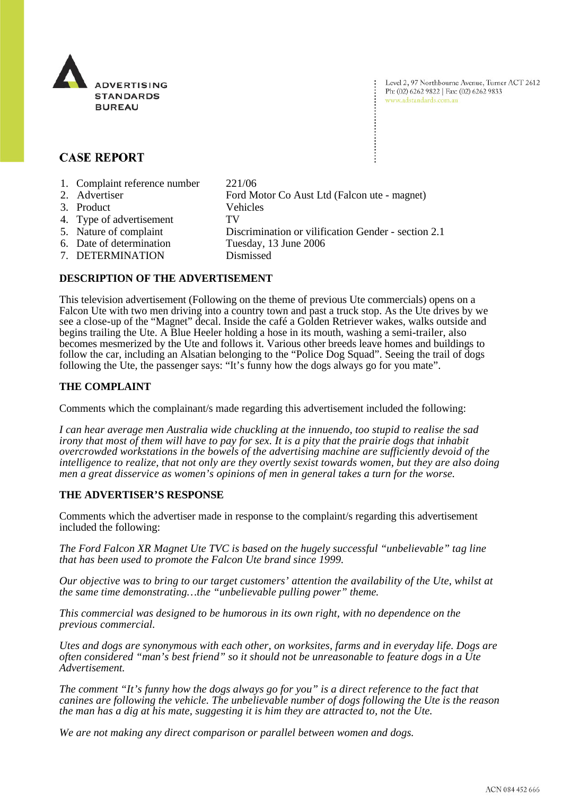

Level 2, 97 Northbourne Avenue, Turner ACT 2612 Ph: (02) 6262 9822 | Fax: (02) 6262 9833 www.adstandards.com.au

# **CASE REPORT**

- 1. Complaint reference number 221/06
- 2. Advertiser Ford Motor Co Aust Ltd (Falcon ute magnet) 3. Product Vehicles
	-
- 4. Type of advertisement TV
- 5. Nature of complaint Discrimination or vilification Gender section 2.1
- 6. Date of determination Tuesday, 13 June 2006
- 7. DETERMINATION Dismissed

## **DESCRIPTION OF THE ADVERTISEMENT**

This television advertisement (Following on the theme of previous Ute commercials) opens on a Falcon Ute with two men driving into a country town and past a truck stop. As the Ute drives by we see a close-up of the "Magnet" decal. Inside the café a Golden Retriever wakes, walks outside and begins trailing the Ute. A Blue Heeler holding a hose in its mouth, washing a semi-trailer, also becomes mesmerized by the Ute and follows it. Various other breeds leave homes and buildings to follow the car, including an Alsatian belonging to the "Police Dog Squad". Seeing the trail of dogs following the Ute, the passenger says: "It's funny how the dogs always go for you mate".

# **THE COMPLAINT**

Comments which the complainant/s made regarding this advertisement included the following:

*I can hear average men Australia wide chuckling at the innuendo, too stupid to realise the sad irony that most of them will have to pay for sex. It is a pity that the prairie dogs that inhabit overcrowded workstations in the bowels of the advertising machine are sufficiently devoid of the intelligence to realize, that not only are they overtly sexist towards women, but they are also doing men a great disservice as women's opinions of men in general takes a turn for the worse.* 

## **THE ADVERTISER'S RESPONSE**

Comments which the advertiser made in response to the complaint/s regarding this advertisement included the following:

*The Ford Falcon XR Magnet Ute TVC is based on the hugely successful "unbelievable" tag line that has been used to promote the Falcon Ute brand since 1999.* 

*Our objective was to bring to our target customers' attention the availability of the Ute, whilst at the same time demonstrating…the "unbelievable pulling power" theme.* 

*This commercial was designed to be humorous in its own right, with no dependence on the previous commercial.* 

*Utes and dogs are synonymous with each other, on worksites, farms and in everyday life. Dogs are often considered "man's best friend" so it should not be unreasonable to feature dogs in a Ute Advertisement.* 

*The comment "It's funny how the dogs always go for you" is a direct reference to the fact that canines are following the vehicle. The unbelievable number of dogs following the Ute is the reason the man has a dig at his mate, suggesting it is him they are attracted to, not the Ute.* 

*We are not making any direct comparison or parallel between women and dogs.*